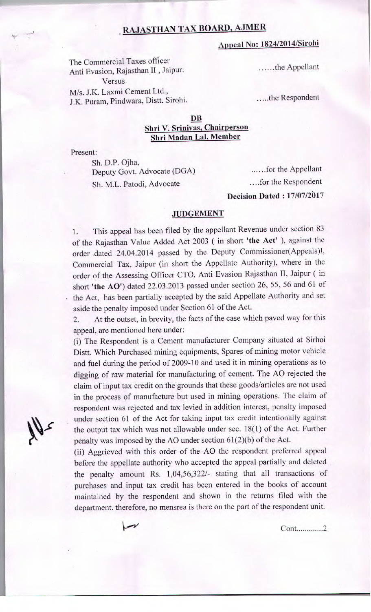## **RAJASTHAN TAX BOARD, AJMER**

## **Appeal No:** *1824I2014ISirohi*

The Commercial Taxes officer Anti Evasion, Rajasthan 11 , Jaipur. Versus M/s. J.K. Laxmi Cement Ltd.,

J.K. Puram, Pindwara, Distt. Sirohi.

......the Appellant

....the Respondent

## **DB Shri V. Srinivas, Chairperson Shri Madan Lai, Member**

Present:

Sh. D.P. Ojha, Deputy Govt. Advocate (DGA) Sh. M.L. Patodi, Advocate

......for the Appellant ....for the Respondent **Decision Dated** : **17/07/2617** 

## **JUDGEMENT**

I. This appeal has been filed by the appellant Revenue under section 83 of the Rajasthan Value Added Act 2003 (in short **'the** Act' ), against the order dated 24.04.2014 passed by the Deputy Commissioner(Appeals)I, Commercial Tax, Jaipur (in short the Appellate Authority), where in the order of the Assessing Officer CTO, Anti Evasion Rajasthan TI, Jaipur (in short **'the AO')** dated 22.03.2013 passed under section 26, *55,* 56 and 61 of the Act, has been partially accepted by the said Appellate Authority and set aside the penalty imposed under Section 61 of the Act.

2. At the outset, in brevity, the facts of the case which paved way for this appeal, are mentioned here under:

(i) The Respondent is a Cement manufacturer Company situated at Sirhoi Distt. Which Purchased mining equipments, Spares of mining motor vehicle and fuel during the period of 2009-10 and used it in mining operations as to digging of raw material for manufacturing of cement. The AO rejected the claim of input tax credit on the grounds that these goods/articles are not used in the process of manufacture but used in mining operations. The claim of respondent was rejected and tax levied in addition interest, penalty imposed under section 61 of the Act for taking input tax credit intentionally against the output tax which was not allowable under sec.  $18(1)$  of the Act. Further penalty was imposed by the AO under section 61(2)(b) of the Act.

(ii) Aggrieved with this order of the AO the respondent preferred appeal before the appellate authority who accepted the appeal partially and deleted the penalty amount Rs. 1,04,56,322/- stating that all transactions of purchases and input tax credit has been entered in the books of account maintained by the respondent and shown in the returns filed with the department. therefore, no mensrea is there on the part of the respondent unit.

Cont .............2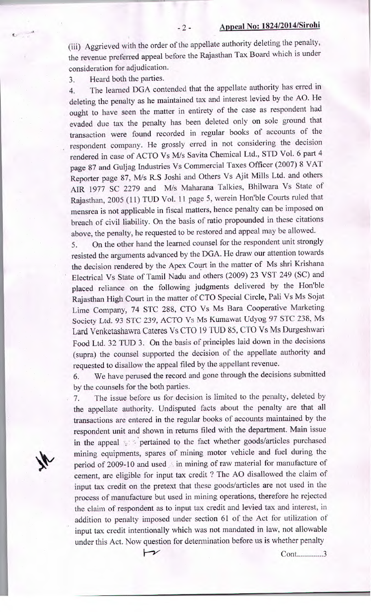(iii) Aggrieved with the order of the appellate authority deleting the penalty, the revenue preferred appeal before the Rajasthan Tax Board which is under consideration for adjudication.

3. Heard both the parties.

4

4. The learned DGA contended that the appellate authority has erred in deleting the penalty as he maintained tax and interest levied by the AO. He ought to have seen the matter in entirety of the case as respondent had evaded due tax the penalty has been deleted only on sole ground that transaction were found recorded in regular books of accounts of the respondent company. He grossly erred in not considering the decision rendered in case of ACTO Vs M/s Savita Chemical Ltd., STD Vol. 6 part 4 page 87 and Guijag Industries Vs Commercial Taxes Officer (2007) 8 VAT Reporter page 87, M/s R.S Joshi and Others Vs Ajit Mills Ltd. and others AIR 1977 SC 2279 and M/s Maharana Talkies, Bhilwara Vs State of Rajasthan, 2005 (11) TUD Vol. 11 page 5, werein Hon'ble Courts ruled that mensrea is not applicable in fiscal matters, hence penalty can be imposed on breach of civil liability. On the basis of ratio propounded in these citations above, the penalty, he requested to be restored and appeal may be allowed.

5. On the other hand the learned counsel for the respondent unit strongly resisted the arguments advanced by the DGA. He draw our attention towards the decision rendered by the Apex Court in the matter of Ms shri Krishana Electrical Vs State of Tamil Nadu and others (2009) 23 VST 249 (SC) and placed reliance on the following judgments delivered by the Hon'ble Rajasthan High Court in the matter of CTO Special Circle, Pali Vs Ms Sojat Lime Company, 74 STC 288, CTO Vs Ms Bara Cooperative Marketing *Society* Ltd. *93* STC 239, ACTO Vs Ms Kumawat Udyog 97 STC 238, Ms Lard Venketashawra Cateres Vs CTO 19 TUD 85, CTO Vs Ms Durgeshwari Food Ltd. 32 TUD 3. On the basis of principles laid down in the decisions (supra) the counsel supported the decision of the appellate authority and requested to disallow the appeal filed by the appellant revenue.

6. We have perused the record and gone through the decisions submitted by the counsels for the both parties.

7. The issue before us for decision is limited to the penalty, deleted by the appellate authority. Undisputed facts about the penalty are that all transactions are entered in the regular books of accounts maintained by the respondent unit and shown in returns filed with the department. Main issue in the appeal . pertained to the fact whether goods/articles purchased mining equipments, spares of mining motor vehicle and fuel during the period of 2009-10 and used  $\land$  in mining of raw material for manufacture of cement, are eligible for input tax credit ? The AO disallowed the claim of input tax credit on the pretext that these goods/articles are not used in the process of manufacture but used in mining operations, therefore he rejected the claim of respondent as to input tax credit and levied tax and interest, in addition to penalty imposed under section 61 of the Act for utilization of input tax credit intentionally which was not mandated in law, not allowable under this Act. Now question for determination before us is whether penalty

 $\overline{\phantom{1}}$ 

Cont.............3